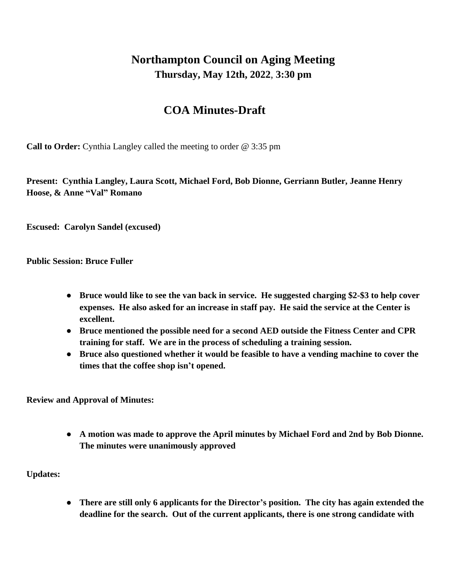## **Northampton Council on Aging Meeting Thursday, May 12th, 2022**, **3:30 pm**

## **COA Minutes-Draft**

**Call to Order:** Cynthia Langley called the meeting to order @ 3:35 pm

**Present: Cynthia Langley, Laura Scott, Michael Ford, Bob Dionne, Gerriann Butler, Jeanne Henry Hoose, & Anne "Val" Romano**

**Escused: Carolyn Sandel (excused)**

**Public Session: Bruce Fuller**

- **● Bruce would like to see the van back in service. He suggested charging \$2-\$3 to help cover expenses. He also asked for an increase in staff pay. He said the service at the Center is excellent.**
- **● Bruce mentioned the possible need for a second AED outside the Fitness Center and CPR training for staff. We are in the process of scheduling a training session.**
- **● Bruce also questioned whether it would be feasible to have a vending machine to cover the times that the coffee shop isn't opened.**

**Review and Approval of Minutes:**

**● A motion was made to approve the April minutes by Michael Ford and 2nd by Bob Dionne. The minutes were unanimously approved**

**Updates:**

**● There are still only 6 applicants for the Director's position. The city has again extended the deadline for the search. Out of the current applicants, there is one strong candidate with**